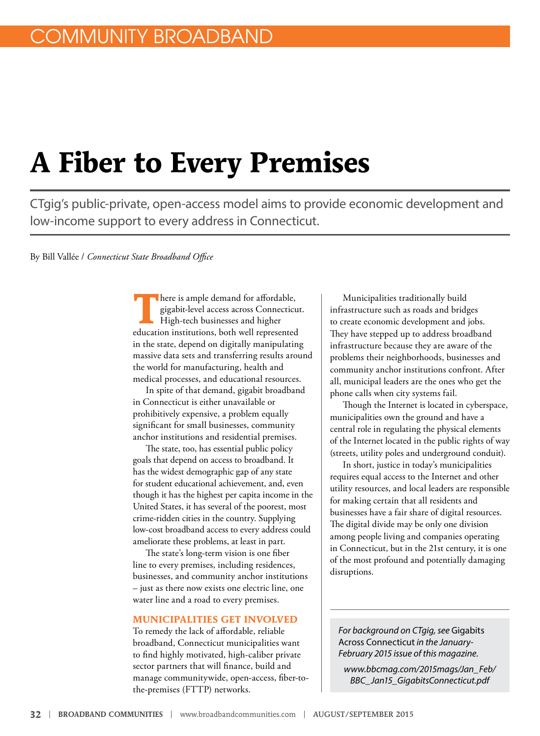# **A Fiber to Every Premises**

CTgig's public-private, open-access model aims to provide economic development and low-income support to every address in Connecticut.

By Bill Vallée / *Connecticut State Broadband Office*

There is ample demand for affordable,<br>gigabit-level access across Connecticu<br>High-tech businesses and higher gigabit-level access across Connecticut. High-tech businesses and higher education institutions, both well represented in the state, depend on digitally manipulating massive data sets and transferring results around the world for manufacturing, health and medical processes, and educational resources.

In spite of that demand, gigabit broadband in Connecticut is either unavailable or prohibitively expensive, a problem equally significant for small businesses, community anchor institutions and residential premises.

The state, too, has essential public policy goals that depend on access to broadband. It has the widest demographic gap of any state for student educational achievement, and, even though it has the highest per capita income in the United States, it has several of the poorest, most crime-ridden cities in the country. Supplying low-cost broadband access to every address could ameliorate these problems, at least in part.

The state's long-term vision is one fiber line to every premises, including residences, businesses, and community anchor institutions – just as there now exists one electric line, one water line and a road to every premises.

#### **MUNICIPALITIES GET INVOLVED**

To remedy the lack of affordable, reliable broadband, Connecticut municipalities want to find highly motivated, high-caliber private sector partners that will finance, build and manage communitywide, open-access, fiber-tothe-premises (FTTP) networks.

Municipalities traditionally build infrastructure such as roads and bridges to create economic development and jobs. They have stepped up to address broadband infrastructure because they are aware of the problems their neighborhoods, businesses and community anchor institutions confront. After all, municipal leaders are the ones who get the phone calls when city systems fail.

Though the Internet is located in cyberspace, municipalities own the ground and have a central role in regulating the physical elements of the Internet located in the public rights of way (streets, utility poles and underground conduit).

In short, justice in today's municipalities requires equal access to the Internet and other utility resources, and local leaders are responsible for making certain that all residents and businesses have a fair share of digital resources. The digital divide may be only one division among people living and companies operating in Connecticut, but in the 21st century, it is one of the most profound and potentially damaging disruptions.

*For background on CTgig, see* Gigabits Across Connecticut *in the January-February 2015 issue of this magazine.*

*www.bbcmag.com/2015mags/Jan\_Feb/ BBC\_Jan15\_GigabitsConnecticut.pdf*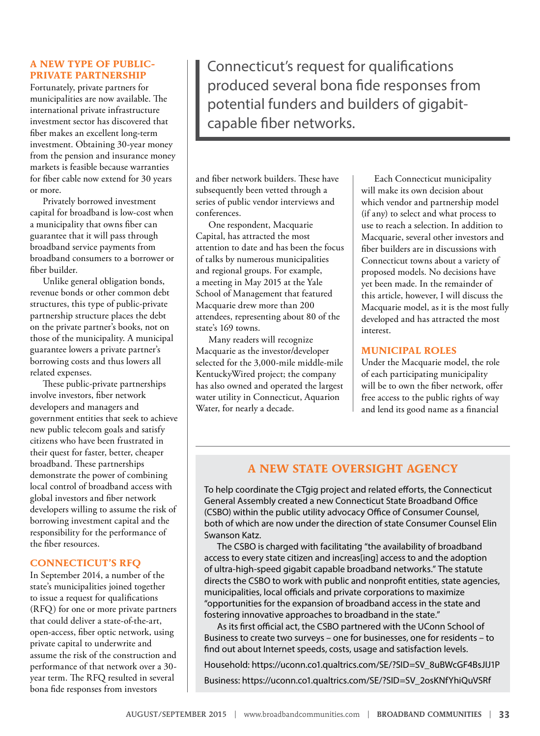# **A NEW TYPE OF PUBLIC-PRIVATE PARTNERSHIP**

Fortunately, private partners for municipalities are now available. The international private infrastructure investment sector has discovered that fiber makes an excellent long-term investment. Obtaining 30-year money from the pension and insurance money markets is feasible because warranties for fiber cable now extend for 30 years or more.

Privately borrowed investment capital for broadband is low-cost when a municipality that owns fiber can guarantee that it will pass through broadband service payments from broadband consumers to a borrower or fiber builder.

Unlike general obligation bonds, revenue bonds or other common debt structures, this type of public-private partnership structure places the debt on the private partner's books, not on those of the municipality. A municipal guarantee lowers a private partner's borrowing costs and thus lowers all related expenses.

These public-private partnerships involve investors, fiber network developers and managers and government entities that seek to achieve new public telecom goals and satisfy citizens who have been frustrated in their quest for faster, better, cheaper broadband. These partnerships demonstrate the power of combining local control of broadband access with global investors and fiber network developers willing to assume the risk of borrowing investment capital and the responsibility for the performance of the fiber resources.

# **CONNECTICUT'S RFQ**

In September 2014, a number of the state's municipalities joined together to issue a request for qualifications (RFQ) for one or more private partners that could deliver a state-of-the-art, open-access, fiber optic network, using private capital to underwrite and assume the risk of the construction and performance of that network over a 30 year term. The RFQ resulted in several bona fide responses from investors

Connecticut's request for qualifications produced several bona fide responses from potential funders and builders of gigabitcapable fiber networks.

and fiber network builders. These have subsequently been vetted through a series of public vendor interviews and conferences.

One respondent, Macquarie Capital, has attracted the most attention to date and has been the focus of talks by numerous municipalities and regional groups. For example, a meeting in May 2015 at the Yale School of Management that featured Macquarie drew more than 200 attendees, representing about 80 of the state's 169 towns.

Many readers will recognize Macquarie as the investor/developer selected for the 3,000-mile middle-mile KentuckyWired project; the company has also owned and operated the largest water utility in Connecticut, Aquarion Water, for nearly a decade.

Each Connecticut municipality will make its own decision about which vendor and partnership model (if any) to select and what process to use to reach a selection. In addition to Macquarie, several other investors and fiber builders are in discussions with Connecticut towns about a variety of proposed models. No decisions have yet been made. In the remainder of this article, however, I will discuss the Macquarie model, as it is the most fully developed and has attracted the most interest.

### **MUNICIPAL ROLES**

Under the Macquarie model, the role of each participating municipality will be to own the fiber network, offer free access to the public rights of way and lend its good name as a financial

# **A NEW STATE OVERSIGHT AGENCY**

To help coordinate the CTgig project and related efforts, the Connecticut General Assembly created a new Connecticut State Broadband Office (CSBO) within the public utility advocacy Office of Consumer Counsel, both of which are now under the direction of state Consumer Counsel Elin Swanson Katz.

The CSBO is charged with facilitating "the availability of broadband access to every state citizen and increas[ing] access to and the adoption of ultra-high-speed gigabit capable broadband networks." The statute directs the CSBO to work with public and nonprofit entities, state agencies, municipalities, local officials and private corporations to maximize "opportunities for the expansion of broadband access in the state and fostering innovative approaches to broadband in the state."

As its first official act, the CSBO partnered with the UConn School of Business to create two surveys – one for businesses, one for residents – to find out about Internet speeds, costs, usage and satisfaction levels.

Household: [https://uconn.co1.qualtrics.com/SE/?SID=SV\\_8uBWcGF4BsJIJ1P](https://uconn.co1.qualtrics.com/SE/?SID=SV_8uBWcGF4BsJIJ1P)

Business: [https://uconn.co1.qualtrics.com/SE/?SID=SV\\_2osKNfYhiQuVSRf](https://uconn.co1.qualtrics.com/SE/?SID=SV_2osKNfYhiQuVSRf)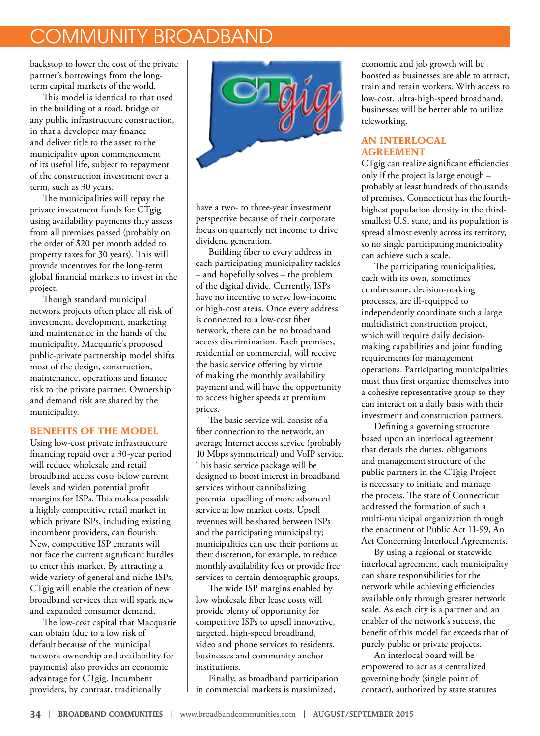# COMMUNITY BROADBAND

backstop to lower the cost of the private partner's borrowings from the longterm capital markets of the world.

This model is identical to that used in the building of a road, bridge or any public infrastructure construction, in that a developer may finance and deliver title to the asset to the municipality upon commencement of its useful life, subject to repayment of the construction investment over a term, such as 30 years.

The municipalities will repay the private investment funds for CTgig using availability payments they assess from all premises passed (probably on the order of \$20 per month added to property taxes for 30 years). This will provide incentives for the long-term global financial markets to invest in the project.

Though standard municipal network projects often place all risk of investment, development, marketing and maintenance in the hands of the municipality, Macquarie's proposed public-private partnership model shifts most of the design, construction, maintenance, operations and finance risk to the private partner. Ownership and demand risk are shared by the municipality.

# **BENEFITS OF THE MODEL**

Using low-cost private infrastructure financing repaid over a 30-year period will reduce wholesale and retail broadband access costs below current levels and widen potential profit margins for ISPs. This makes possible a highly competitive retail market in which private ISPs, including existing incumbent providers, can flourish. New, competitive ISP entrants will not face the current significant hurdles to enter this market. By attracting a wide variety of general and niche ISPs, CTgig will enable the creation of new broadband services that will spark new and expanded consumer demand.

The low-cost capital that Macquarie can obtain (due to a low risk of default because of the municipal network ownership and availability fee payments) also provides an economic advantage for CTgig. Incumbent providers, by contrast, traditionally



have a two- to three-year investment perspective because of their corporate focus on quarterly net income to drive dividend generation.

Building fiber to every address in each participating municipality tackles – and hopefully solves – the problem of the digital divide. Currently, ISPs have no incentive to serve low-income or high-cost areas. Once every address is connected to a low-cost fiber network, there can be no broadband access discrimination. Each premises, residential or commercial, will receive the basic service offering by virtue of making the monthly availability payment and will have the opportunity to access higher speeds at premium prices.

The basic service will consist of a fiber connection to the network, an average Internet access service (probably 10 Mbps symmetrical) and VoIP service. This basic service package will be designed to boost interest in broadband services without cannibalizing potential upselling of more advanced service at low market costs. Upsell revenues will be shared between ISPs and the participating municipality; municipalities can use their portions at their discretion, for example, to reduce monthly availability fees or provide free services to certain demographic groups.

The wide ISP margins enabled by low wholesale fiber lease costs will provide plenty of opportunity for competitive ISPs to upsell innovative, targeted, high-speed broadband, video and phone services to residents, businesses and community anchor institutions.

Finally, as broadband participation in commercial markets is maximized,

economic and job growth will be boosted as businesses are able to attract, train and retain workers. With access to low-cost, ultra-high-speed broadband, businesses will be better able to utilize teleworking.

## **AN INTERLOCAL AGREEMENT**

CTgig can realize significant efficiencies only if the project is large enough – probably at least hundreds of thousands of premises. Connecticut has the fourthhighest population density in the thirdsmallest U.S. state, and its population is spread almost evenly across its territory, so no single participating municipality can achieve such a scale.

The participating municipalities, each with its own, sometimes cumbersome, decision-making processes, are ill-equipped to independently coordinate such a large multidistrict construction project, which will require daily decisionmaking capabilities and joint funding requirements for management operations. Participating municipalities must thus first organize themselves into a cohesive representative group so they can interact on a daily basis with their investment and construction partners.

Defining a governing structure based upon an interlocal agreement that details the duties, obligations and management structure of the public partners in the CTgig Project is necessary to initiate and manage the process. The state of Connecticut addressed the formation of such a multi-municipal organization through the enactment of Public Act 11-99, An Act Concerning Interlocal Agreements.

By using a regional or statewide interlocal agreement, each municipality can share responsibilities for the network while achieving efficiencies available only through greater network scale. As each city is a partner and an enabler of the network's success, the benefit of this model far exceeds that of purely public or private projects.

An interlocal board will be empowered to act as a centralized governing body (single point of contact), authorized by state statutes